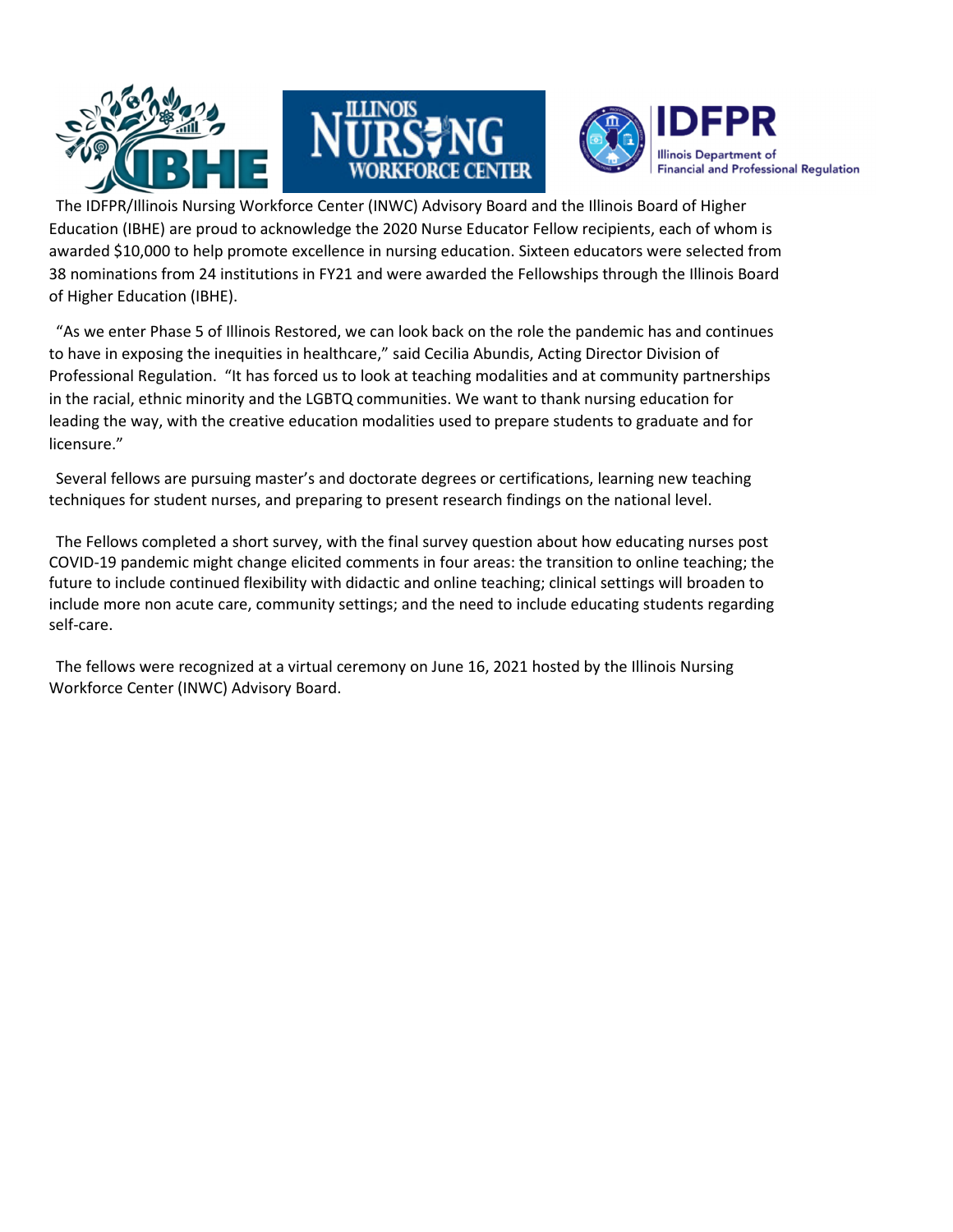





The IDFPR/Illinois Nursing Workforce Center (INWC) Advisory Board and the Illinois Board of Higher Education (IBHE) are proud to acknowledge the 2020 Nurse Educator Fellow recipients, each of whom is awarded \$10,000 to help promote excellence in nursing education. Sixteen educators were selected from 38 nominations from 24 institutions in FY21 and were awarded the Fellowships through the Illinois Board of Higher Education (IBHE).

"As we enter Phase 5 of Illinois Restored, we can look back on the role the pandemic has and continues to have in exposing the inequities in healthcare," said Cecilia Abundis, Acting Director Division of Professional Regulation. "It has forced us to look at teaching modalities and at community partnerships in the racial, ethnic minority and the LGBTQ communities. We want to thank nursing education for leading the way, with the creative education modalities used to prepare students to graduate and for licensure."

Several fellows are pursuing master's and doctorate degrees or certifications, learning new teaching techniques for student nurses, and preparing to present research findings on the national level.

The Fellows completed a short survey, with the final survey question about how educating nurses post COVID-19 pandemic might change elicited comments in four areas: the transition to online teaching; the future to include continued flexibility with didactic and online teaching; clinical settings will broaden to include more non acute care, community settings; and the need to include educating students regarding self-care.

The fellows were recognized at a virtual ceremony on June 16, 2021 hosted by the Illinois Nursing Workforce Center (INWC) Advisory Board.